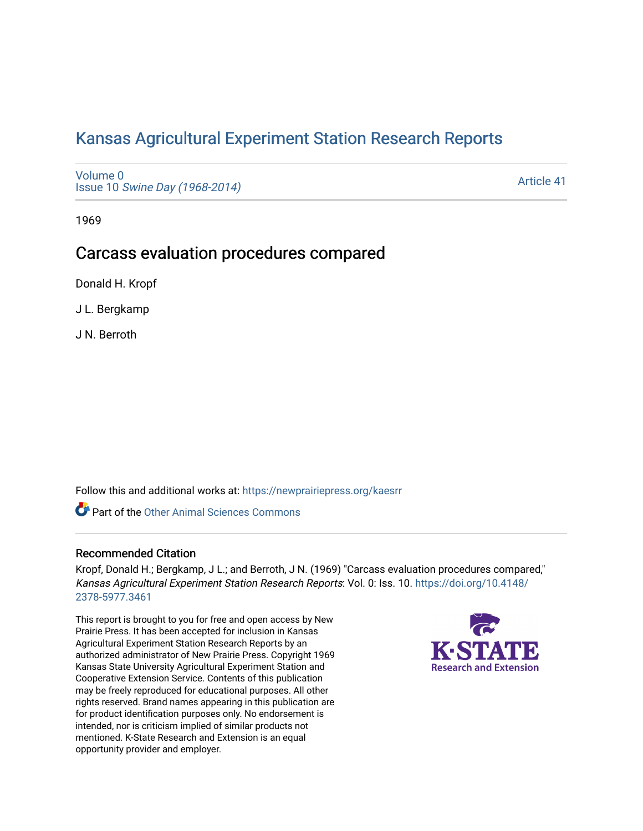# [Kansas Agricultural Experiment Station Research Reports](https://newprairiepress.org/kaesrr)

[Volume 0](https://newprairiepress.org/kaesrr/vol0) Issue 10 [Swine Day \(1968-2014\)](https://newprairiepress.org/kaesrr/vol0/iss10)

[Article 41](https://newprairiepress.org/kaesrr/vol0/iss10/41) 

1969

## Carcass evaluation procedures compared

Donald H. Kropf

J L. Bergkamp

J N. Berroth

Follow this and additional works at: [https://newprairiepress.org/kaesrr](https://newprairiepress.org/kaesrr?utm_source=newprairiepress.org%2Fkaesrr%2Fvol0%2Fiss10%2F41&utm_medium=PDF&utm_campaign=PDFCoverPages) 

**Part of the [Other Animal Sciences Commons](http://network.bepress.com/hgg/discipline/82?utm_source=newprairiepress.org%2Fkaesrr%2Fvol0%2Fiss10%2F41&utm_medium=PDF&utm_campaign=PDFCoverPages)** 

#### Recommended Citation

Kropf, Donald H.; Bergkamp, J L.; and Berroth, J N. (1969) "Carcass evaluation procedures compared," Kansas Agricultural Experiment Station Research Reports: Vol. 0: Iss. 10. [https://doi.org/10.4148/](https://doi.org/10.4148/2378-5977.3461) [2378-5977.3461](https://doi.org/10.4148/2378-5977.3461) 

This report is brought to you for free and open access by New Prairie Press. It has been accepted for inclusion in Kansas Agricultural Experiment Station Research Reports by an authorized administrator of New Prairie Press. Copyright 1969 Kansas State University Agricultural Experiment Station and Cooperative Extension Service. Contents of this publication may be freely reproduced for educational purposes. All other rights reserved. Brand names appearing in this publication are for product identification purposes only. No endorsement is intended, nor is criticism implied of similar products not mentioned. K-State Research and Extension is an equal opportunity provider and employer.

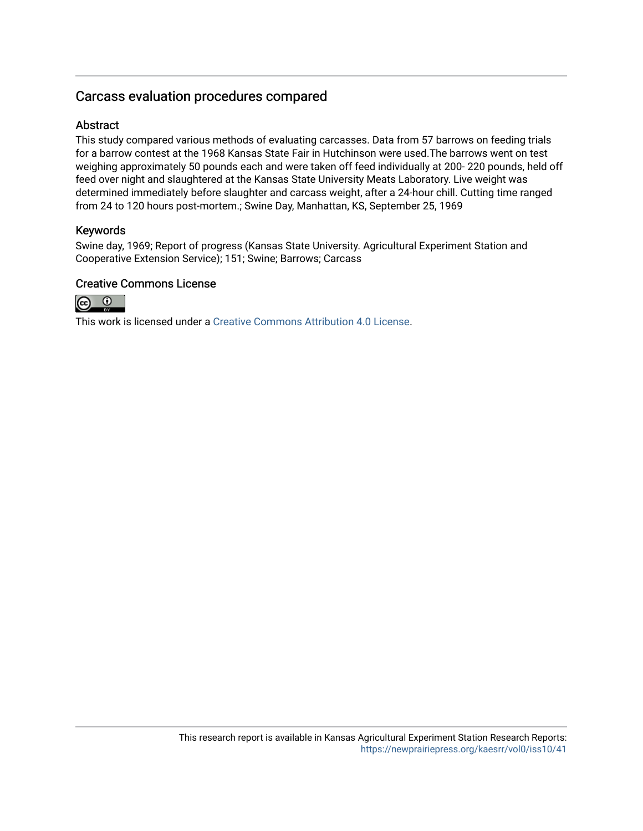### Carcass evaluation procedures compared

#### **Abstract**

This study compared various methods of evaluating carcasses. Data from 57 barrows on feeding trials for a barrow contest at the 1968 Kansas State Fair in Hutchinson were used.The barrows went on test weighing approximately 50 pounds each and were taken off feed individually at 200- 220 pounds, held off feed over night and slaughtered at the Kansas State University Meats Laboratory. Live weight was determined immediately before slaughter and carcass weight, after a 24-hour chill. Cutting time ranged from 24 to 120 hours post-mortem.; Swine Day, Manhattan, KS, September 25, 1969

#### Keywords

Swine day, 1969; Report of progress (Kansas State University. Agricultural Experiment Station and Cooperative Extension Service); 151; Swine; Barrows; Carcass

#### Creative Commons License



This work is licensed under a [Creative Commons Attribution 4.0 License](https://creativecommons.org/licenses/by/4.0/).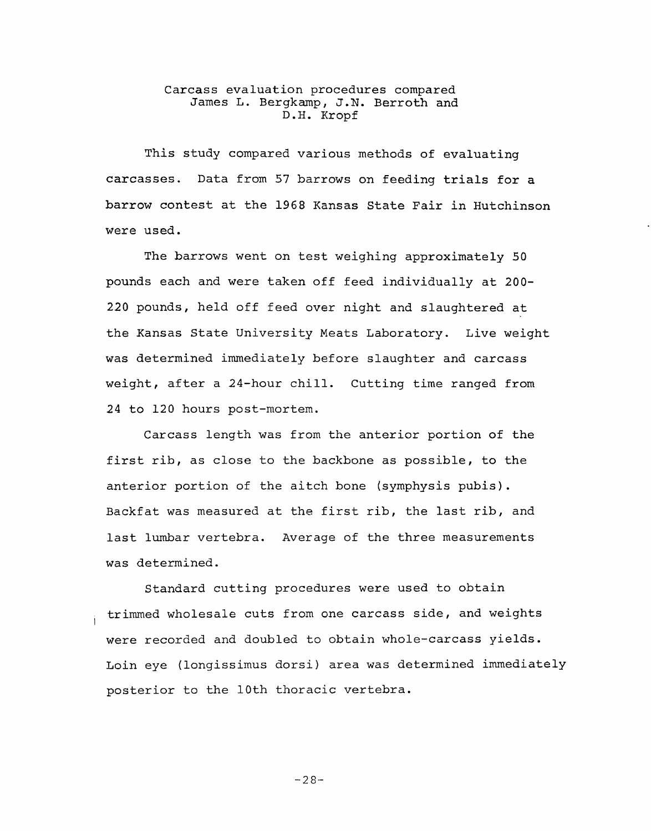#### Carcass evaluation procedures compared James L. Bergkamp, J.N. Berroth and D.H. Kropf

This study compared various methods of evaluating Data from 57 barrows on feeding trials for a carcasses. barrow contest at the 1968 Kansas State Fair in Hutchinson were used.

The barrows went on test weighing approximately 50 pounds each and were taken off feed individually at 200-220 pounds, held off feed over night and slaughtered at the Kansas State University Meats Laboratory. Live weight was determined immediately before slaughter and carcass weight, after a 24-hour chill. Cutting time ranged from 24 to 120 hours post-mortem.

Carcass length was from the anterior portion of the first rib, as close to the backbone as possible, to the anterior portion of the aitch bone (symphysis pubis). Backfat was measured at the first rib, the last rib, and last lumbar vertebra. Average of the three measurements was determined.

Standard cutting procedures were used to obtain trimmed wholesale cuts from one carcass side, and weights were recorded and doubled to obtain whole-carcass yields. Loin eye (longissimus dorsi) area was determined immediately posterior to the 10th thoracic vertebra.

 $-28-$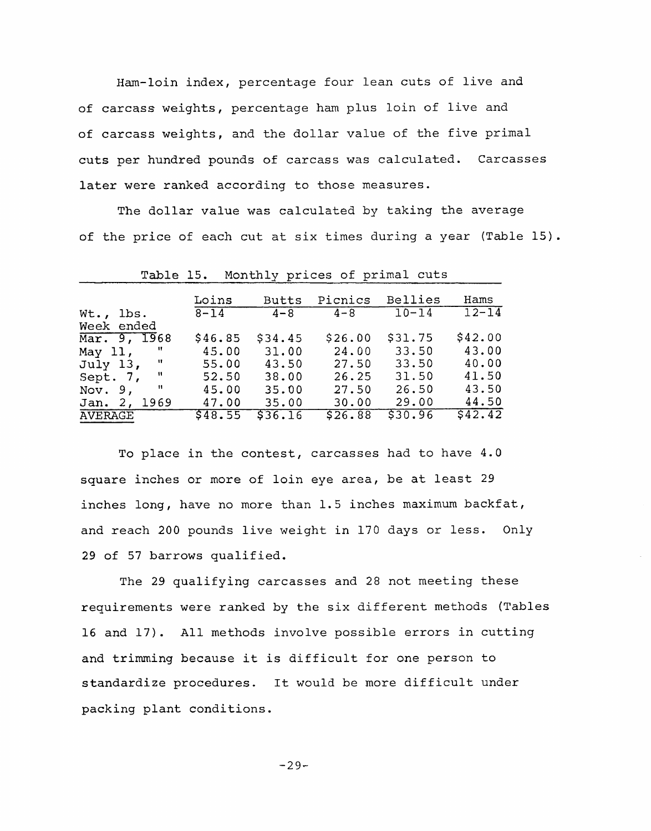Ham-loin index, percentage four lean cuts of live and of carcass weights, percentage ham plus loin of live and of carcass weights, and the dollar value of the five primal cuts per hundred pounds of carcass was calculated. Carcasses later were ranked according to those measures.

The dollar value was calculated by taking the average of the price of each cut at six times during a year (Table 15).

| Tapie is.<br>MONTHIY Prices Of primal cuts |          |              |         |           |           |  |
|--------------------------------------------|----------|--------------|---------|-----------|-----------|--|
|                                            | Loins    | <b>Butts</b> | Picnics | Bellies   | Hams      |  |
| $Wt.,$ lbs.<br>Week ended                  | $8 - 14$ | $4 - 8$      | $4 - 8$ | $10 - 14$ | $12 - 14$ |  |
| Mar. 9, 1968                               | \$46.85  | \$34.45      | \$26.00 | \$31.75   | \$42.00   |  |
| 11<br>May $11$ ,                           | 45.00    | 31.00        | 24.00   | 33.50     | 43.00     |  |
| Ш<br>July 13,                              | 55.00    | 43.50        | 27.50   | 33.50     | 40.00     |  |
| Н<br>Sept. 7,                              | 52.50    | 38.00        | 26.25   | 31.50     | 41.50     |  |
| Н<br>Nov. $9,$                             | 45.00    | 35.00        | 27.50   | 26.50     | 43.50     |  |
| Jan. 2, 1969                               | 47.00    | 35.00        | 30.00   | 29.00     | 44.50     |  |
| AVERAGE                                    | \$48.55  | \$36.16      | \$26.88 | \$30.96   | \$42.42   |  |

Monthly prices of primal guts

To place in the contest, carcasses had to have 4.0 square inches or more of loin eye area, be at least 29 inches long, have no more than 1.5 inches maximum backfat, and reach 200 pounds live weight in 170 days or less. Only 29 of 57 barrows qualified.

The 29 qualifying carcasses and 28 not meeting these requirements were ranked by the six different methods (Tables 16 and 17). All methods involve possible errors in cutting and trimming because it is difficult for one person to standardize procedures. It would be more difficult under packing plant conditions.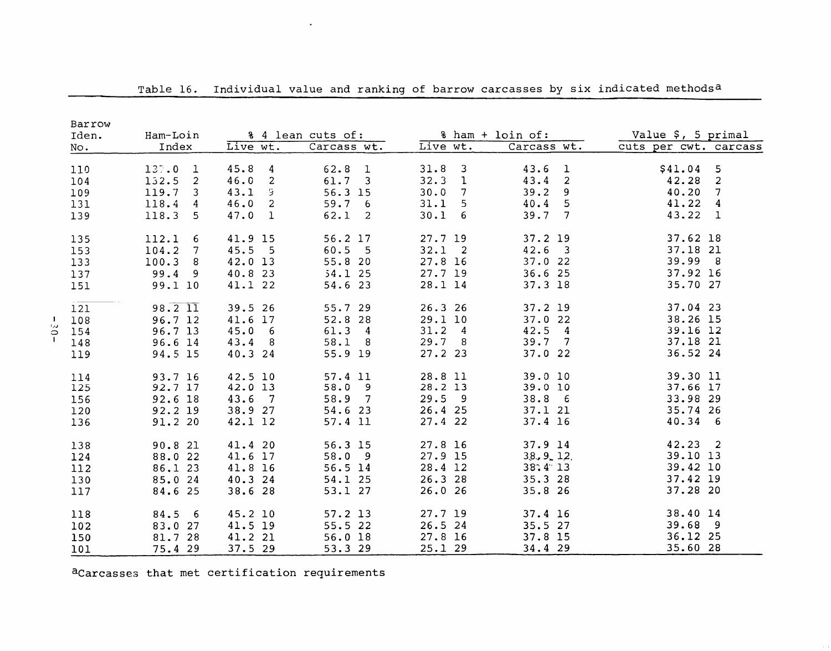| Barrow<br>Iden. | Ham-Loin      |                        | % 4 lean cuts of:      |                                 | % ham + loin of:       | Value \$, 5 primal      |
|-----------------|---------------|------------------------|------------------------|---------------------------------|------------------------|-------------------------|
| No.             | Index         | Live wt.               | Carcass wt.            | Live wt.                        | Carcass wt.            | cuts per cwt. carcass   |
|                 | 137.0         | 45.8                   | 62.8                   | 31.8<br>$\overline{\mathbf{3}}$ | 43.6<br>1              | \$41.04                 |
| 110             | 1<br>132.5    | 4                      | $\mathbf{1}$           | 32.3<br>$\mathbf{1}$            | 43.4                   | 5<br>$\overline{c}$     |
| 104             | 2             | $\overline{c}$<br>46.0 | 61.7<br>-3             |                                 | 2                      | 42.28                   |
| 109             | 119.7<br>3    | 9<br>43.1              | 56.3 15                | 30.0<br>-7                      | 39.2<br>9              | 7<br>40.20              |
| 131             | 118.4<br>4    | 2<br>46.0              | 59.7<br>- 6            | $-5$<br>31.1                    | 5<br>40.4              | 4<br>41.22              |
| 139             | 118.3<br>5    | $\mathbf{1}$<br>47.0   | 62.1<br>$\overline{2}$ | 30.1<br>- 6                     | 39.7<br>$\overline{7}$ | 43.22<br>$\mathbf{1}$   |
| 135             | 112.1<br>6    | 41.9 15                | 56.2 17                | 27.7 19                         | 37.2 19                | 37.62 18                |
| 153             | 104.2<br>7    | $45.5$ 5               | 60.55                  | 32.1<br>$\overline{2}$          | 42.6<br>$\overline{3}$ | 37.18 21                |
| 133             | 100.3<br>8    | 42.0 13                | 55.8 20                | 27.8 16                         | 37.0 22                | 39.99<br>- 8            |
| 137             | 99.4<br>9     | 40.8 23                | $54.1$ 25              | 27.7 19                         | 36.625                 | 37.92 16                |
| 151             | 99.1 10       | 41.1 22                | 54.6 23                | 28.1 14                         | 37.3 18                | 35.70 27                |
| 121             | $98.2 \; 11$  | 39.5 26                | 55.7 29                | 26.3 26                         | $37.2$ 19              | 37.04 23                |
| 108             | 96.7 12       | 41.6 17                | 52.8 28                | 29.1 10                         | 37.0 22                | 38.26 15                |
| 154             | 96.7 13       | 45.0<br>- 6            | 61.3<br>$\overline{4}$ | 31.2<br>$\overline{4}$          | 42.5<br>$\overline{4}$ | 39.16 12                |
| 148             | 96.6 14       | 43.4<br>8              | 58.1<br>- 8            | $29.7$ 8                        | 39.77                  | 37.18 21                |
| 119             | 94.5 15       | 40.3 24                | 55.9 19                | $27.2$ 23                       | 37.0 22                | 36.52 24                |
| 114             | 93.7 16       | 42.5 10                | 57.4 11                | 28.8 11                         | 39.0 10                | 39.30 11                |
| 125             | 92.7 17       | 42.0 13                | 58.0<br>- 9            | 28.2 13                         | 39.0 10                | 37.66 17                |
| 156             | 92.6 18       | 43.6<br>$\overline{7}$ | 58.9<br>$\overline{7}$ | $29.5$ 9                        | 38.8<br>$\epsilon$     | 33.98 29                |
| 120             | 92.2 19       | 38.9 27                | 54.6 23                | 26.425                          | 37.1 21                | 35.74 26                |
| 136             | 91.2 20       | 42.1 12                | 57.4 11                | 27.4 22                         | 37.416                 | 40.34 6                 |
| 138             | 90.821        | 41.4 20                | 56.3 15                | 27.8 16                         | 37.9 14                | 42.23<br>$\overline{2}$ |
| 124             | 88.0 22       | 41.6 17                | 58.09                  | 27.9 15                         | $38.9$ , $12$          | 39.10 13                |
| 112             | 86.1 23       | 41.8 16                | 56.5 14                | 28.4 12                         | $38.4 - 13$            | 39.42 10                |
| 130             | 85.0 24       | 40.324                 | 54.1 25                | 26.328                          | 35.328                 | 37.42 19                |
| 117             | 84.6 25       | 38.6 28                | 53.1 27                | 26.026                          | 35.8 26                | 37.28 20                |
|                 |               | 45.2 10                | 57.2 13                | 27.7 19                         | 37.4 16                | 38.40 14                |
| 118             | $84.5\quad 6$ |                        |                        | 26.5 24                         |                        | 39.68<br>- 9            |
| 102             | 83.0 27       | 41.5 19                | 55.5 22                |                                 | 35.527                 |                         |
| 150             | 81.7 28       | 41.2 21                | 56.0 18                | 27.8 16                         | 37.8 15                | 36.12 25                |
| 101             | 75.4 29       | 37.5 29                | 53.3 29                | 25.1 29                         | 34.4 29                | 35.60 28                |

Table 16. Individual value and ranking of barrow carcasses by six indicated methods<sup>a</sup>

 $\mathbf{r}$ 

aCarcasses that met certification requirements

 $-93 -$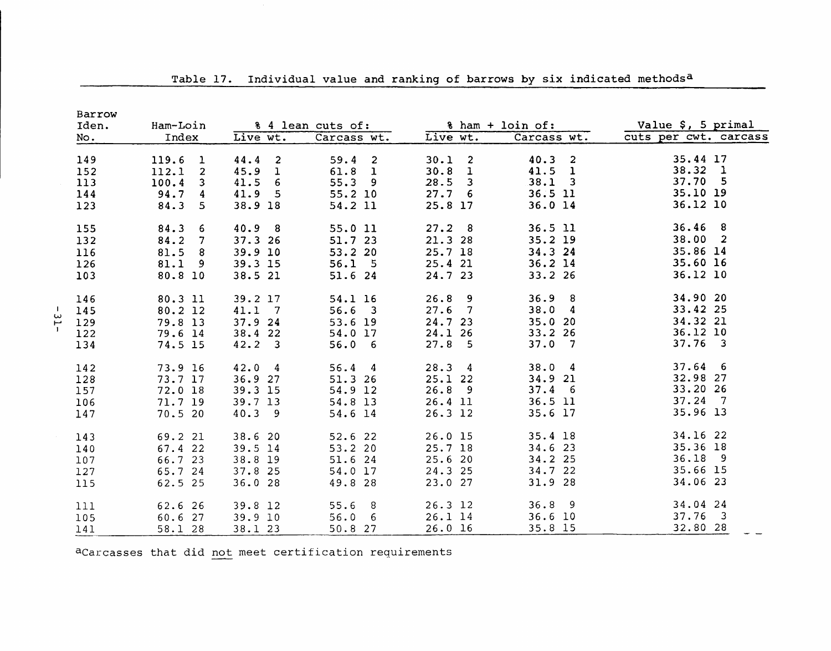| Barrow<br>Iden. | Ham-Loin<br>% 4 lean cuts of: |                        | % ham + loin of: |                                 | Value \$, 5 primal     |                                  |
|-----------------|-------------------------------|------------------------|------------------|---------------------------------|------------------------|----------------------------------|
| No.             | Index                         | Live wt.               | Carcass wt.      | Live wt.                        | Carcass wt.            | cuts per cwt. carcass            |
| 149             | 119.6<br>1                    | 44.4<br>$\overline{2}$ | 59.4<br>2        | 30.1<br>$\overline{2}$          | 40.3<br>$\overline{2}$ | 35.44 17                         |
| 152             | 112.1<br>$\overline{2}$       | 45.9<br>$\mathbf{I}$   | 61.8<br>1        | 30.8<br>$\mathbf{1}$            | 41.5<br>$\mathbf{1}$   | 38.32<br>$\mathbf{1}$            |
| 113             | 100.4<br>3                    | 41.5<br>6              | 55.3<br>9        | 28.5<br>$\overline{\mathbf{3}}$ | 38.1 <sup>3</sup>      | 37.70<br>- 5                     |
| 144             | 94.7<br>4                     | 41.9<br>5              | 55.2 10          | 27.7<br>$6\overline{6}$         | 36.5 11                | 35.10 19                         |
| 123             | 84.3<br>5                     | 38.9 18                | 54.2 11          | 25.8 17                         | 36.0 14                | 36.12 10                         |
| 155             | 84.3<br>6                     | $40.9$ 8               | 55.0 11          | $27.2$ 8                        | 36.5 11                | $36.46$ 8                        |
| 132             | 84.2<br>7                     | 37.3 26                | 51.723           | 21.3 28                         | 35.2 19                | 38.00<br>$\overline{2}$          |
| 116             | 81.5<br>8                     | 39.9 10                | 53.2 20          | 25.7 18                         | 34.3 24                | 35.86 14                         |
| 126             | 81.1<br>- 9                   | 39.3 15                | 56.1<br>- 5      | 25.4 21                         | 36.2 14                | 35.60 16                         |
| 103             | 80.8 10                       | 38.5 21                | 51.6 24          | 24.7 23                         | 33.2 26                | 36.12 10                         |
| 146             | 80.3 11                       | 39.2 17                | 54.1 16          | 26.8<br>- 9                     | 36.98                  | 34.90 20                         |
| 145             | 80.2 12                       | $41.1$ 7               | $56.6$ 3         | 27.6<br>$\overline{7}$          | 38.0<br>-4             | 33.42 25                         |
| 129             | 79.8 13                       | 37.9 24                | 53.6 19          | 24.7 23                         | 35.020                 | 34.32 21                         |
| 122             | 79.6 14                       | 38.4 22                | 54.0 17          | 24.1 26                         | 33.2 26                | 36.12 10                         |
| 134             | 74.5 15                       | $42.2$ 3               | 56.06            | $27.8$ 5                        | 37.0<br>$\overline{7}$ | 37.76<br>$\overline{\mathbf{3}}$ |
| 142             | 73.9 16                       | 42.0<br>$\overline{4}$ | 56.44            | 28.3<br>$\frac{4}{3}$           | 38.04                  | 37.64<br>$6^{\circ}$             |
| 128             | 73.7 17                       | 36.9 27                | 51.3 26          | 25.1 22                         | 34.9 21                | 32.98 27                         |
| 157             | 72.0 18                       | 39.3 15                | 54.9 12          | 26.8<br>- 9                     | 37.4<br>- 6            | 33.20 26                         |
| 106             | 71.7 19                       | 39.7 13                | 54.8 13          | 26.4 11                         | 36.5 11                | 37.24<br>$\overline{7}$          |
| 147             | 70.5 20                       | $40.3$ 9               | 54.6 14          | 26.3 12                         | 35.6 17                | 35.96 13                         |
| 143             | 69.2 21                       | 38.6 20                | 52.6 22          | 26.0 15                         | $35.4$ 18              | 34.16 22                         |
| 140             | 67.4 22                       | 39.5 14                | 53.2 20          | 25.7 18                         | 34.6 23                | 35.36 18                         |
| 107             | 66.723                        | 38.8 19                | 51.6 24          | 25.620                          | 34.2 25                | 36.18<br>- 9                     |
| 127             | 65.7 24                       | 37.8 25                | 54.0 17          | 24.3 25                         | 34.7 22                | 35.66 15                         |
| 115             | 62.5 25                       | 36.0 28                | 49.8 28          | 23.0 27                         | 31.9 28                | 34.06 23                         |
| 111             | 62.6 26                       | 39.8 12                | 55.6<br>- 8      | 26.3 12                         | $36.8$ 9               | 34.04 24                         |
| 105             | $60.6$ 27                     | 39.9 10                | 56.0<br>- 6      | 26.1 14                         | 36.610                 | 37.76<br>$\overline{\mathbf{3}}$ |
| 141             | 58.1 28                       | 38.1 23                | 50.8 27          | 26.016                          | 35.8 15                | 32.80 28                         |

Table 17. Individual value and ranking of barrows by six indicated methods<sup>a</sup>

aCarcasses that did not meet certification requirements

 $-31-$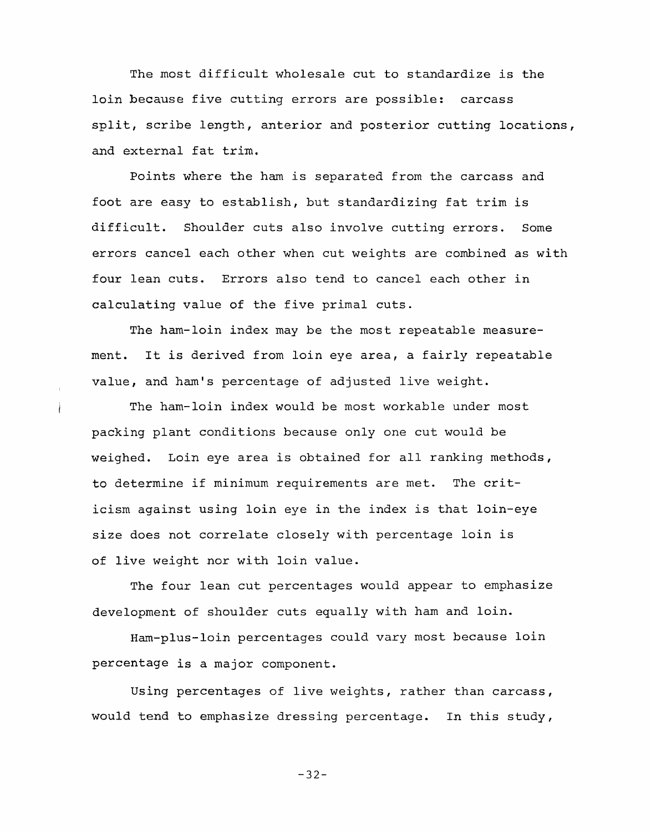The most difficult wholesale cut to standardize is the loin because five cutting errors are possible: carcass split, scribe length, anterior and posterior cutting locations, and external fat trim.

Points where the ham is separated from the carcass and foot are easy to establish, but standardizing fat trim is difficult. Shoulder cuts also involve cutting errors. Some errors cancel each other when cut weights are combined as with four lean cuts. Errors also tend to cancel each other in calculating value of the five primal cuts.

The ham-loin index may be the most repeatable measure-It is derived from loin eye area, a fairly repeatable ment. value, and ham's percentage of adjusted live weight.

The ham-loin index would be most workable under most packing plant conditions because only one cut would be weighed. Loin eye area is obtained for all ranking methods, to determine if minimum requirements are met. The criticism against using loin eye in the index is that loin-eye size does not correlate closely with percentage loin is of live weight nor with loin value.

The four lean cut percentages would appear to emphasize development of shoulder cuts equally with ham and loin.

Ham-plus-loin percentages could vary most because loin percentage is a major component.

Using percentages of live weights, rather than carcass, would tend to emphasize dressing percentage. In this study,

 $-32-$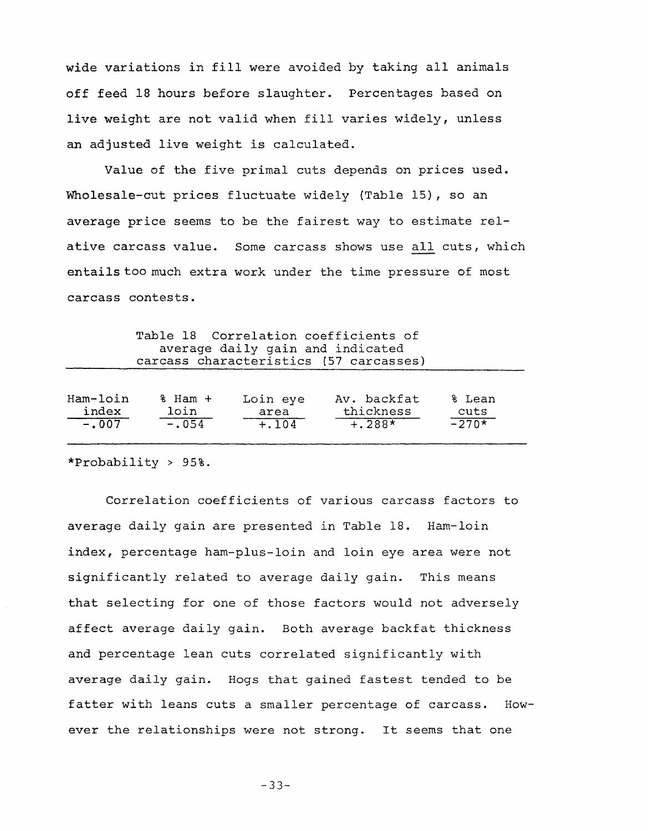wide variations in fill were avoided by taking all animals off feed 18 hours before slaughter. Percentages based on live weight are not valid when fill varies widely, unless an adjusted live weight is calculated.

Value of the five primal cuts depends on prices used. Wholesale-cut prices fluctuate widely (Table 15), so an average price seems to be the fairest way to estimate relative carcass value. Some carcass shows use all cuts, which entails too much extra work under the time pressure of most carcass contests.

Table 18 Correlation coefficients of average daily gain and indicated carcass characteristics (57 carcasses)

| Ham-loin | ፄ Ham + | Loin eye | Av. backfat | % Lean  |
|----------|---------|----------|-------------|---------|
| index    | loin    | area     | thickness   | cuts    |
| $-0.07$  | $-.054$ | $+ 104$  | $+.288*$    | $-270*$ |

\*Probability > 95%.

Correlation coefficients of various carcass factors to average daily gain are presented in Table 18. Ham-loin index, percentage ham-plus-loin and loin eye area were not significantly related to average daily gain. This means that selecting for one of those factors would not adversely affect average daily gain. Both average backfat thickness and percentage lean cuts correlated significantly with average daily gain. Hogs that gained fastest tended to be fatter with leans cuts a smaller percentage of carcass. However the relationships were not strong. It seems that one

 $-33-$